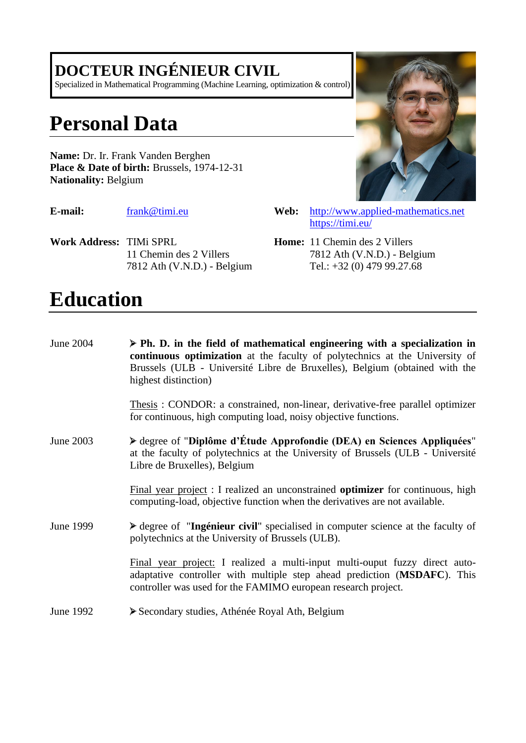## **DOCTEUR INGÉNIEUR CIVIL**

Specialized in Mathematical Programming (Machine Learning, optimization & control)

# **Personal Data**

**Name:** Dr. Ir. Frank Vanden Berghen Place & Date of birth: Brussels, 1974-12-31 **Nationality:** Belgium

**Work Address:** TIMi SPRL 11 Chemin des 2 Villers 7812 Ath (V.N.D.) - Belgium

# **Education**

| June 2004 | $\triangleright$ Ph. D. in the field of mathematical engineering with a specialization in<br>continuous optimization at the faculty of polytechnics at the University of<br>Brussels (ULB - Université Libre de Bruxelles), Belgium (obtained with the<br>highest distinction) |
|-----------|--------------------------------------------------------------------------------------------------------------------------------------------------------------------------------------------------------------------------------------------------------------------------------|
|           | Thesis: CONDOR: a constrained, non-linear, derivative-free parallel optimizer<br>for continuous, high computing load, noisy objective functions.                                                                                                                               |
| June 2003 | > degree of "Diplôme d'Étude Approfondie (DEA) en Sciences Appliquées"<br>at the faculty of polytechnics at the University of Brussels (ULB - Université<br>Libre de Bruxelles), Belgium                                                                                       |
|           | Final year project : I realized an unconstrained <b>optimizer</b> for continuous, high<br>computing-load, objective function when the derivatives are not available.                                                                                                           |
| June 1999 | riangleright degree of "Ingénieur civil" specialised in computer science at the faculty of<br>polytechnics at the University of Brussels (ULB).                                                                                                                                |
|           | Final year project: I realized a multi-input multi-ouput fuzzy direct auto-<br>adaptative controller with multiple step ahead prediction (MSDAFC). This<br>controller was used for the FAMIMO european research project.                                                       |
| June 1992 | Secondary studies, Athénée Royal Ath, Belgium                                                                                                                                                                                                                                  |



- **E-mail:** [frank@timi.eu](mailto:frank@timi.eu) **Web:** [http://www.applied-mathematics.net](http://www.applied-mathematics.net/) <https://timi.eu/>
	- **Home:** 11 Chemin des 2 Villers 7812 Ath (V.N.D.) - Belgium Tel.: +32 (0) 479 99.27.68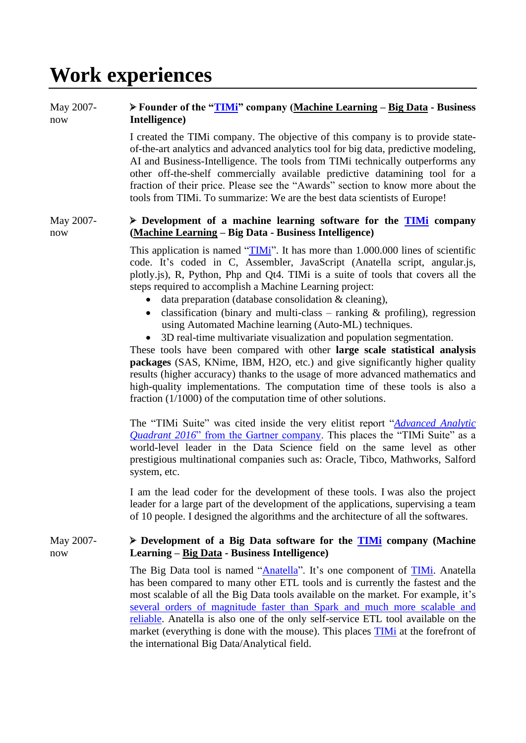# **Work experiences**

### May 2007 now **Founder of the ["TIMi"](https://timi.eu/) company (Machine Learning – Big Data - Business Intelligence)**

I created the TIMi company. The objective of this company is to provide stateof-the-art analytics and advanced analytics tool for big data, predictive modeling, AI and Business-Intelligence. The tools from TIMi technically outperforms any other off-the-shelf commercially available predictive datamining tool for a fraction of their price. Please see the "Awards" section to know more about the tools from TIMi. To summarize: We are the best data scientists of Europe!

### May 2007 now **Development of a machine learning software for the [TIMi](https://timi.eu/) company (Machine Learning – Big Data - Business Intelligence)**

This application is named ["TIMi"](https://timi.eu/products-solutions/timi/). It has more than 1.000.000 lines of scientific code. It's coded in C, Assembler, JavaScript (Anatella script, angular.js, plotly.js), R, Python, Php and Qt4. TIMi is a suite of tools that covers all the steps required to accomplish a Machine Learning project:

- data preparation (database consolidation  $&$  cleaning),
- classification (binary and multi-class ranking  $\&$  profiling), regression using Automated Machine learning (Auto-ML) techniques.
- 3D real-time multivariate visualization and population segmentation.

These tools have been compared with other **large scale statistical analysis packages** (SAS, KNime, IBM, H2O, etc.) and give significantly higher quality results (higher accuracy) thanks to the usage of more advanced mathematics and high-quality implementations. The computation time of these tools is also a fraction (1/1000) of the computation time of other solutions.

The "TIMi Suite" was cited inside the very elitist report "*[Advanced Analytic](https://www.gartner.com/doc/reprints?id=1-2YEIILW&ct=160210&st=sb)  Quadrant 2016*[" from the Gartner company.](https://www.gartner.com/doc/reprints?id=1-2YEIILW&ct=160210&st=sb) This places the "TIMi Suite" as a world-level leader in the Data Science field on the same level as other prestigious multinational companies such as: Oracle, Tibco, Mathworks, Salford system, etc.

I am the lead coder for the development of these tools. I was also the project leader for a large part of the development of the applications, supervising a team of 10 people. I designed the algorithms and the architecture of all the softwares.

### May 2007 now **Development of a Big Data software for the [TIMi](https://timi.eu/) company (Machine Learning – Big Data - Business Intelligence)**

The Big Data tool is named ["Anatella"](https://timi.eu/products-solutions/timi/anatella/). It's one component of [TIMi.](https://timi.eu/products-solutions/timi/) Anatella has been compared to many other ETL tools and is currently the fastest and the most scalable of all the Big Data tools available on the market. For example, it's [several orders of magnitude faster than Spark](https://timi.eu/blog/cloud/) and much more scalable and [reliable.](https://timi.eu/blog/cloud/) Anatella is also one of the only self-service ETL tool available on the market (everything is done with the mouse). This places **TIMi** at the forefront of the international Big Data/Analytical field.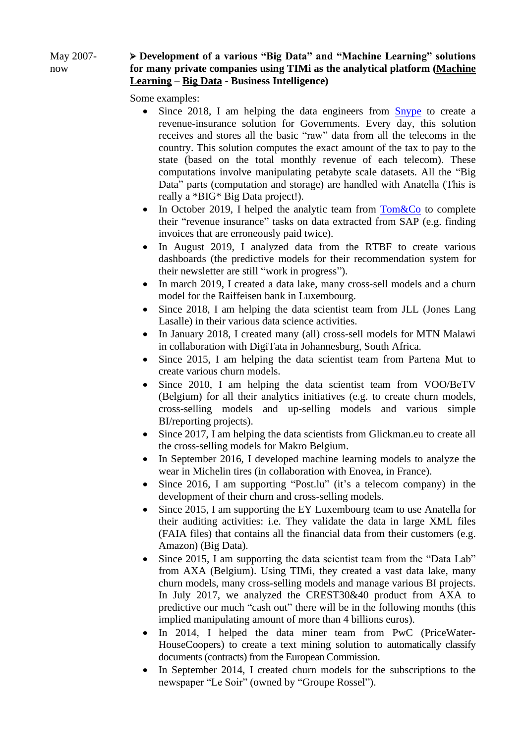### May 2007 now **Development of a various "Big Data" and "Machine Learning" solutions for many private companies using TIMi as the analytical platform (Machine Learning – Big Data - Business Intelligence)**

Some examples:

- Since 2018, I am helping the data engineers from **[Snype](http://snype.org/)** to create a revenue-insurance solution for Governments. Every day, this solution receives and stores all the basic "raw" data from all the telecoms in the country. This solution computes the exact amount of the tax to pay to the state (based on the total monthly revenue of each telecom). These computations involve manipulating petabyte scale datasets. All the "Big Data" parts (computation and storage) are handled with Anatella (This is really a \*BIG\* Big Data project!).
- In October 2019, I helped the analytic team from  $Tom\&Co$  to complete their "revenue insurance" tasks on data extracted from SAP (e.g. finding invoices that are erroneously paid twice).
- In August 2019, I analyzed data from the RTBF to create various dashboards (the predictive models for their recommendation system for their newsletter are still "work in progress").
- In march 2019, I created a data lake, many cross-sell models and a churn model for the Raiffeisen bank in Luxembourg.
- Since 2018, I am helping the data scientist team from JLL (Jones Lang Lasalle) in their various data science activities.
- In January 2018, I created many (all) cross-sell models for MTN Malawi in collaboration with DigiTata in Johannesburg, South Africa.
- Since 2015, I am helping the data scientist team from Partena Mut to create various churn models.
- Since 2010, I am helping the data scientist team from VOO/BeTV (Belgium) for all their analytics initiatives (e.g. to create churn models, cross-selling models and up-selling models and various simple BI/reporting projects).
- Since 2017, I am helping the data scientists from Glickman.eu to create all the cross-selling models for Makro Belgium.
- In September 2016, I developed machine learning models to analyze the wear in Michelin tires (in collaboration with Enovea, in France).
- Since 2016, I am supporting "Post.lu" (it's a telecom company) in the development of their churn and cross-selling models.
- Since 2015, I am supporting the EY Luxembourg team to use Anatella for their auditing activities: i.e. They validate the data in large XML files (FAIA files) that contains all the financial data from their customers (e.g. Amazon) (Big Data).
- Since 2015, I am supporting the data scientist team from the "Data Lab" from AXA (Belgium). Using TIMi, they created a vast data lake, many churn models, many cross-selling models and manage various BI projects. In July 2017, we analyzed the CREST30&40 product from AXA to predictive our much "cash out" there will be in the following months (this implied manipulating amount of more than 4 billions euros).
- In 2014. I helped the data miner team from PwC (PriceWater-HouseCoopers) to create a text mining solution to automatically classify documents (contracts) from the European Commission.
- In September 2014, I created churn models for the subscriptions to the newspaper "Le Soir" (owned by "Groupe Rossel").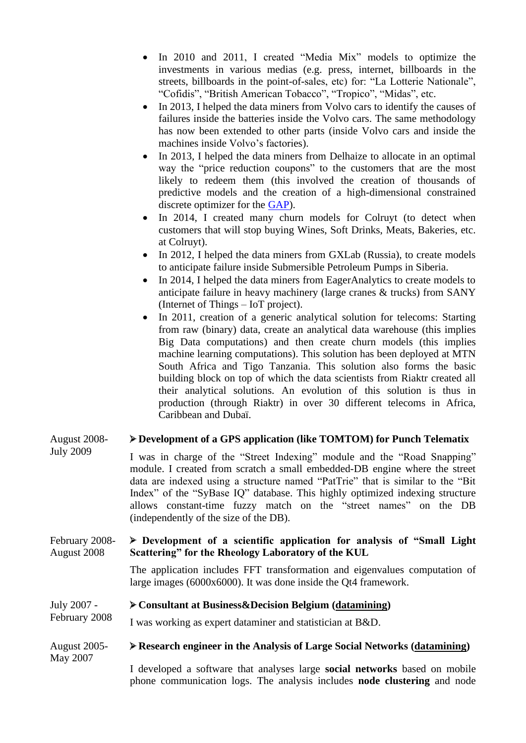- In 2010 and 2011, I created "Media Mix" models to optimize the investments in various medias (e.g. press, internet, billboards in the streets, billboards in the point-of-sales, etc) for: "La Lotterie Nationale", "Cofidis", "British American Tobacco", "Tropico", "Midas", etc.
- In 2013, I helped the data miners from Volvo cars to identify the causes of failures inside the batteries inside the Volvo cars. The same methodology has now been extended to other parts (inside Volvo cars and inside the machines inside Volvo's factories).
- In 2013, I helped the data miners from Delhaize to allocate in an optimal way the "price reduction coupons" to the customers that are the most likely to redeem them (this involved the creation of thousands of predictive models and the creation of a high-dimensional constrained discrete optimizer for the [GAP\)](https://en.wikipedia.org/wiki/Generalized_assignment_problem).
- In 2014, I created many churn models for Colruyt (to detect when customers that will stop buying Wines, Soft Drinks, Meats, Bakeries, etc. at Colruyt).
- In 2012, I helped the data miners from GXLab (Russia), to create models to anticipate failure inside Submersible Petroleum Pumps in Siberia.
- In 2014, I helped the data miners from EagerAnalytics to create models to anticipate failure in heavy machinery (large cranes & trucks) from SANY (Internet of Things – IoT project).
- In 2011, creation of a generic analytical solution for telecoms: Starting from raw (binary) data, create an analytical data warehouse (this implies Big Data computations) and then create churn models (this implies machine learning computations). This solution has been deployed at MTN South Africa and Tigo Tanzania. This solution also forms the basic building block on top of which the data scientists from Riaktr created all their analytical solutions. An evolution of this solution is thus in production (through Riaktr) in over 30 different telecoms in Africa, Caribbean and Dubaï.

### August 2008- July 2009 **Development of a GPS application (like TOMTOM) for Punch Telematix** I was in charge of the "Street Indexing" module and the "Road Snapping" module. I created from scratch a small embedded-DB engine where the street data are indexed using a structure named "PatTrie" that is similar to the "Bit Index" of the "SyBase IQ" database. This highly optimized indexing structure allows constant-time fuzzy match on the "street names" on the DB (independently of the size of the DB). February 2008- August 2008 **Development of a scientific application for analysis of "Small Light Scattering" for the Rheology Laboratory of the KUL**

The application includes FFT transformation and eigenvalues computation of large images (6000x6000). It was done inside the Qt4 framework.

### July 2007 - **Consultant at Business&Decision Belgium (datamining)**

February 2008 I was working as expert dataminer and statistician at B&D.

### August 2005- May 2007 **Research engineer in the Analysis of Large Social Networks (datamining)**

I developed a software that analyses large **social networks** based on mobile phone communication logs. The analysis includes **node clustering** and node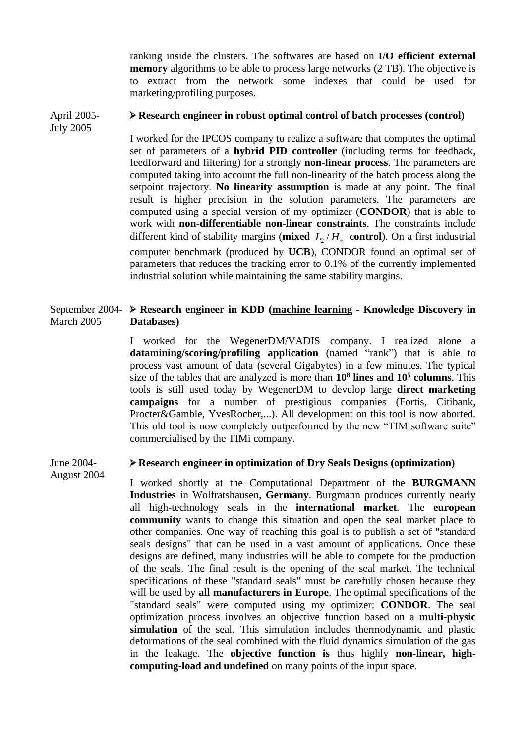ranking inside the clusters. The softwares are based on **I/O efficient external memory** algorithms to be able to process large networks (2 TB). The objective is to extract from the network some indexes that could be used for marketing/profiling purposes.

### April 2005- July 2005 **Research engineer in robust optimal control of batch processes (control)**

I worked for the IPCOS company to realize a software that computes the optimal set of parameters of a **hybrid PID controller** (including terms for feedback, feedforward and filtering) for a strongly **non-linear process**. The parameters are computed taking into account the full non-linearity of the batch process along the setpoint trajectory. **No linearity assumption** is made at any point. The final result is higher precision in the solution parameters. The parameters are computed using a special version of my optimizer (**CONDOR**) that is able to work with **non-differentiable non-linear constraints**. The constraints include different kind of stability margins (**mixed**  $L_2/H_\infty$  **control**). On a first industrial computer benchmark (produced by **UCB**), CONDOR found an optimal set of parameters that reduces the tracking error to 0.1% of the currently implemented industrial solution while maintaining the same stability margins.

### September 2004- **Research engineer in KDD (machine learning - Knowledge Discovery in**  March 2005 **Databases)**

I worked for the WegenerDM/VADIS company. I realized alone a **datamining/scoring/profiling application** (named "rank") that is able to process vast amount of data (several Gigabytes) in a few minutes. The typical size of the tables that are analyzed is more than **10<sup>8</sup> lines and 10<sup>5</sup> columns**. This tools is still used today by WegenerDM to develop large **direct marketing campaigns** for a number of prestigious companies (Fortis, Citibank, Procter&Gamble, YvesRocher,...). All development on this tool is now aborted. This old tool is now completely outperformed by the new "TIM software suite" commercialised by the TIMi company.

### June 2004- August 2004 **Research engineer in optimization of Dry Seals Designs (optimization)**

I worked shortly at the Computational Department of the **BURGMANN Industries** in Wolfratshausen, **Germany**. Burgmann produces currently nearly all high-technology seals in the **international market**. The **european community** wants to change this situation and open the seal market place to other companies. One way of reaching this goal is to publish a set of "standard seals designs" that can be used in a vast amount of applications. Once these designs are defined, many industries will be able to compete for the production of the seals. The final result is the opening of the seal market. The technical specifications of these "standard seals" must be carefully chosen because they will be used by **all manufacturers in Europe**. The optimal specifications of the "standard seals" were computed using my optimizer: **CONDOR**. The seal optimization process involves an objective function based on a **multi-physic simulation** of the seal. This simulation includes thermodynamic and plastic deformations of the seal combined with the fluid dynamics simulation of the gas in the leakage. The **objective function is** thus highly **non-linear, highcomputing-load and undefined** on many points of the input space.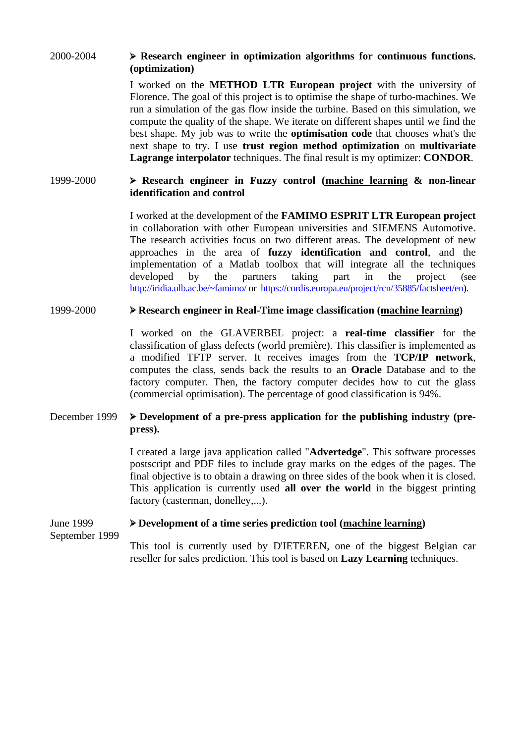## 2000-2004 **Research engineer in optimization algorithms for continuous functions. (optimization)**

I worked on the **METHOD LTR European project** with the university of Florence. The goal of this project is to optimise the shape of turbo-machines. We run a simulation of the gas flow inside the turbine. Based on this simulation, we compute the quality of the shape. We iterate on different shapes until we find the best shape. My job was to write the **optimisation code** that chooses what's the next shape to try. I use **trust region method optimization** on **multivariate Lagrange interpolator** techniques. The final result is my optimizer: **CONDOR**.

## 1999-2000 **Research engineer in Fuzzy control (machine learning & non-linear identification and control**

I worked at the development of the **FAMIMO ESPRIT LTR European project**  in collaboration with other European universities and SIEMENS Automotive. The research activities focus on two different areas. The development of new approaches in the area of **fuzzy identification and control**, and the implementation of a Matlab toolbox that will integrate all the techniques developed by the partners taking part in the project (see <http://iridia.ulb.ac.be/~famimo/> or [https://cordis.europa.eu/project/rcn/35885/factsheet/en\)](https://cordis.europa.eu/project/rcn/35885/factsheet/en).

## 1999-2000 **Research engineer in Real-Time image classification (machine learning)**

I worked on the GLAVERBEL project: a **real-time classifier** for the classification of glass defects (world première). This classifier is implemented as a modified TFTP server. It receives images from the **TCP/IP network**, computes the class, sends back the results to an **Oracle** Database and to the factory computer. Then, the factory computer decides how to cut the glass (commercial optimisation). The percentage of good classification is 94%.

## December 1999  $\rightarrow$  Development of a pre-press application for the publishing industry (pre**press).**

I created a large java application called "**Advertedge**". This software processes postscript and PDF files to include gray marks on the edges of the pages. The final objective is to obtain a drawing on three sides of the book when it is closed. This application is currently used **all over the world** in the biggest printing factory (casterman, donelley,...).

### June 1999 September 1999 **Development of a time series prediction tool (machine learning)**

This tool is currently used by D'IETEREN, one of the biggest Belgian car reseller for sales prediction. This tool is based on **Lazy Learning** techniques.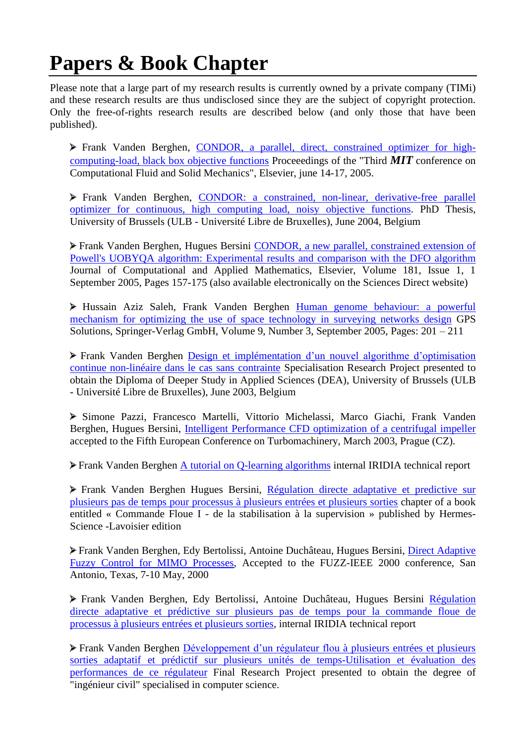# **Papers & Book Chapter**

Please note that a large part of my research results is currently owned by a private company (TIMi) and these research results are thus undisclosed since they are the subject of copyright protection. Only the free-of-rights research results are described below (and only those that have been published).

Frank Vanden Berghen, [CONDOR, a parallel, direct, constrained optimizer for high](publications/MIT_Condor.pdf)[computing-load, black box objective functions](publications/MIT_Condor.pdf) Proceeedings of the "Third *MIT* conference on Computational Fluid and Solid Mechanics", Elsevier, june 14-17, 2005.

Frank Vanden Berghen, [CONDOR: a constrained, non-linear, derivative-free parallel](../mythesis/Thesis.html)  optimizer for continuous, [high computing load, noisy objective functions.](../mythesis/Thesis.html) PhD Thesis, University of Brussels (ULB - Université Libre de Bruxelles), June 2004, Belgium

Frank Vanden Berghen, Hugues Bersini [CONDOR, a new parallel, constrained extension of](publications/J_of_Computational_and_Apllied_mathematics.pdf)  [Powell's UOBYQA algorithm: Experimental results and comparison with the DFO algorithm](publications/J_of_Computational_and_Apllied_mathematics.pdf) Journal of Computational and Applied Mathematics, Elsevier, Volume 181, Issue 1, 1 September 2005, Pages 157-175 (also available electronically on the Sciences Direct website)

Hussain Aziz Saleh, Frank Vanden Berghen Human [genome behaviour:](publications/GA-GPS.pdf) a powerful [mechanism for optimizing the use of space technology in surveying networks design](publications/GA-GPS.pdf) GPS Solutions, Springer-Verlag GmbH, Volume 9, Number 3, September 2005, Pages: 201 – 211

Frank Vanden Berghen Design et implémentation d'un nouvel algorithme d'optimisation continue non-linéaire dans le cas sans contrainte Specialisation Research Project presented to obtain the Diploma of Deeper Study in Applied Sciences (DEA), University of Brussels (ULB - Université Libre de Bruxelles), June 2003, Belgium

Simone Pazzi, Francesco Martelli, Vittorio Michelassi, Marco Giachi, Frank Vanden Berghen, Hugues Bersini, [Intelligent Performance CFD optimization of a centrifugal impeller](publications/Euroturbo5_final.pdf) accepted to the Fifth European Conference on Turbomachinery, March 2003, Prague (CZ).

Frank Vanden Berghen [A tutorial on Q-learning algorithms](../qlearning/qlearning.pdf) internal IRIDIA technical report

Frank Vanden Berghen Hugues Bersini, [Régulation directe adaptative et predictive sur](publications/R%E9gulation%20directe%20adaptative_chap04.pdf)  [plusieurs pas de temps pour processus à plusieurs entrées et plusieurs sorties](publications/R%E9gulation%20directe%20adaptative_chap04.pdf) chapter of a book entitled « Commande Floue I - de la stabilisation à la supervision » published by Hermes-Science -Lavoisier edition

Frank Vanden Berghen, Edy Bertolissi, Antoine Duchâteau, Hugues Bersini, [Direct Adaptive](publications/fuzzieee00.pdf)  [Fuzzy Control for MIMO Processes,](publications/fuzzieee00.pdf) Accepted to the FUZZ-IEEE 2000 conference, San Antonio, Texas, 7-10 May, 2000

Frank Vanden Berghen, Edy Bertolissi, Antoine Duchâteau, Hugues Bersini [Régulation](../fuzzy/technical.pdf)  [directe adaptative et prédictive sur plusieurs pas de temps pour la](../fuzzy/technical.pdf) commande floue de [processus à plusieurs entrées et plusieurs sorties,](../fuzzy/technical.pdf) internal IRIDIA technical report

Frank Vanden Berghen Développement d'un régulateur flou à plusieurs entrées et plusieurs sorties adaptatif et prédictif sur plusieurs unités de temps-Utilisation et évaluation des performances de ce régulateur Final Research Project presented to obtain the degree of "ingénieur civil" specialised in computer science.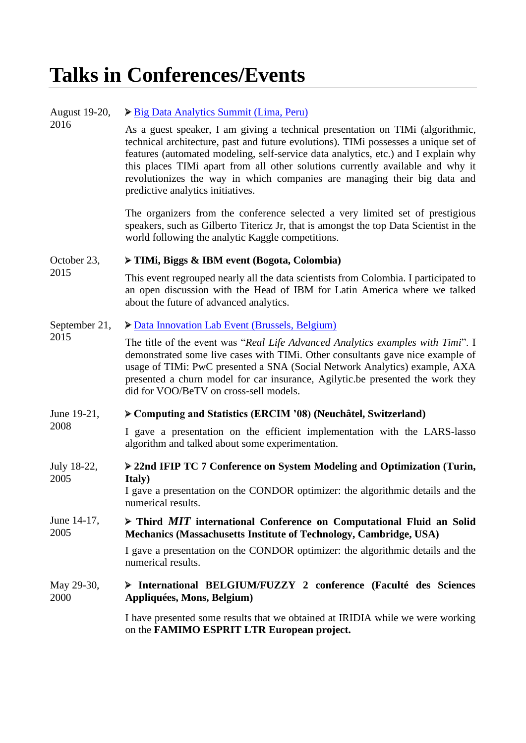# **Talks in Conferences/Events**

| August 19-20,<br>2016 | Big Data Analytics Summit (Lima, Peru)                                                                                                                                                                                                                                                                                                                                                                                                                          |
|-----------------------|-----------------------------------------------------------------------------------------------------------------------------------------------------------------------------------------------------------------------------------------------------------------------------------------------------------------------------------------------------------------------------------------------------------------------------------------------------------------|
|                       | As a guest speaker, I am giving a technical presentation on TIMi (algorithmic,<br>technical architecture, past and future evolutions). TIMi possesses a unique set of<br>features (automated modeling, self-service data analytics, etc.) and I explain why<br>this places TIMi apart from all other solutions currently available and why it<br>revolutionizes the way in which companies are managing their big data and<br>predictive analytics initiatives. |
|                       | The organizers from the conference selected a very limited set of prestigious<br>speakers, such as Gilberto Titericz Jr, that is amongst the top Data Scientist in the<br>world following the analytic Kaggle competitions.                                                                                                                                                                                                                                     |
| October 23,<br>2015   | TIMi, Biggs & IBM event (Bogota, Colombia)                                                                                                                                                                                                                                                                                                                                                                                                                      |
|                       | This event regrouped nearly all the data scientists from Colombia. I participated to<br>an open discussion with the Head of IBM for Latin America where we talked<br>about the future of advanced analytics.                                                                                                                                                                                                                                                    |
| September 21,<br>2015 | Data Innovation Lab Event (Brussels, Belgium)                                                                                                                                                                                                                                                                                                                                                                                                                   |
|                       | The title of the event was "Real Life Advanced Analytics examples with Timi". I<br>demonstrated some live cases with TIMi. Other consultants gave nice example of<br>usage of TIMi: PwC presented a SNA (Social Network Analytics) example, AXA<br>presented a churn model for car insurance, Agilytic.be presented the work they<br>did for VOO/BeTV on cross-sell models.                                                                                     |
| June 19-21,<br>2008   | Computing and Statistics (ERCIM '08) (Neuchâtel, Switzerland)                                                                                                                                                                                                                                                                                                                                                                                                   |
|                       | I gave a presentation on the efficient implementation with the LARS-lasso<br>algorithm and talked about some experimentation.                                                                                                                                                                                                                                                                                                                                   |
| July 18-22,<br>2005   | > 22nd IFIP TC 7 Conference on System Modeling and Optimization (Turin,                                                                                                                                                                                                                                                                                                                                                                                         |
|                       | <b>Italy</b> )<br>I gave a presentation on the CONDOR optimizer: the algorithmic details and the<br>numerical results.                                                                                                                                                                                                                                                                                                                                          |
| June 14-17,<br>2005   | > Third MIT international Conference on Computational Fluid an Solid<br>Mechanics (Massachusetts Institute of Technology, Cambridge, USA)                                                                                                                                                                                                                                                                                                                       |
|                       | I gave a presentation on the CONDOR optimizer: the algorithmic details and the<br>numerical results.                                                                                                                                                                                                                                                                                                                                                            |
| May 29-30,<br>2000    | > International BELGIUM/FUZZY 2 conference (Faculté des Sciences<br>Appliquées, Mons, Belgium)                                                                                                                                                                                                                                                                                                                                                                  |
|                       | I have presented some results that we obtained at IRIDIA while we were working<br>on the FAMIMO ESPRIT LTR European project.                                                                                                                                                                                                                                                                                                                                    |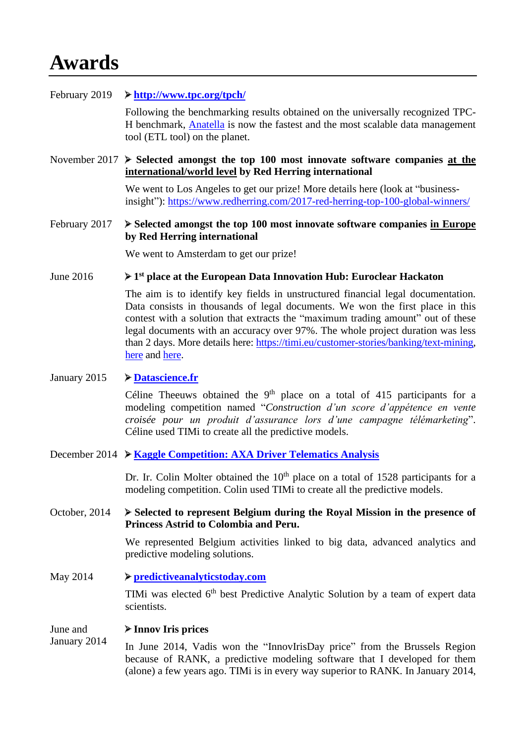# **Awards**

## February 2019 **<http://www.tpc.org/tpch/>**

Following the benchmarking results obtained on the universally recognized TPC-H benchmark, [Anatella](https://timi.eu/products-solutions/timi/anatella/) is now the fastest and the most scalable data management tool (ETL tool) on the planet.

November 2017 **Selected amongst the top 100 most innovate software companies at the international/world level by Red Herring international**

> We went to Los Angeles to get our prize! More details here (look at "businessinsight"): <https://www.redherring.com/2017-red-herring-top-100-global-winners/>

## February 2017 **Selected amongst the top 100 most innovate software companies in Europe by Red Herring international**

We went to Amsterdam to get our prize!

#### June 2016 **1 st place at the European Data Innovation Hub: Euroclear Hackaton**

The aim is to identify key fields in unstructured financial legal documentation. Data consists in thousands of legal documents. We won the first place in this contest with a solution that extracts the "maximum trading amount" out of these legal documents with an accuracy over 97%. The whole project duration was less than 2 days. More details here: [https://timi.eu/customer-stories/banking/text-mining,](https://timi.eu/customer-stories/banking/text-mining) [here](https://www.meetup.com/Data-Science-Community-Meetup/events%20/231040266/) and [here.](https://www.meetup.com/Data-Science-Community-Meetup/events/231511092/?rv=me1&_xtd=gatlbWFpbF9jbGlja9oAJDM3NTEzMTkwLTdkYTctNDBiMC1hN2Q3LTk3YThjNjNiMjQ2Yw&_af=event&_af_eid=231511092)

## January 2015 **[Datascience.fr](https://www.datascience.net/fr/challenge/17/details#tab_ranking)**

Céline Theeuws obtained the  $9<sup>th</sup>$  place on a total of 415 participants for a modeling competition named "*Construction d'un score d'appétence en vente croisée pour un produit d'assurance lors d'une campagne télémarketing*". Céline used TIMi to create all the predictive models.

December 2014 **[Kaggle Competition: AXA Driver Telematics Analysis](https://www.kaggle.com/c/axa-driver-telematics-analysis/leaderboard)** 

Dr. Ir. Colin Molter obtained the  $10<sup>th</sup>$  place on a total of 1528 participants for a modeling competition. Colin used TIMi to create all the predictive models.

## October, 2014 **Selected to represent Belgium during the Royal Mission in the presence of Princess Astrid to Colombia and Peru.**

We represented Belgium activities linked to big data, advanced analytics and predictive modeling solutions.

May 2014 **[predictiveanalyticstoday.com](http://www.predictiveanalyticstoday.com/top-predictive-analytics-software/)** TIMi was elected 6<sup>th</sup> best Predictive Analytic Solution by a team of expert data scientists.

#### June and **Innov Iris prices**

January 2014 In June 2014, Vadis won the "InnovIrisDay price" from the Brussels Region because of RANK, a predictive modeling software that I developed for them (alone) a few years ago. TIMi is in every way superior to RANK. In January 2014,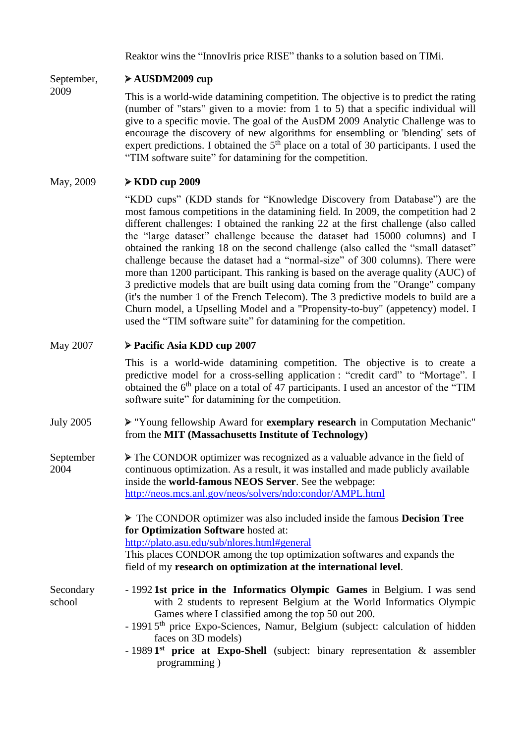Reaktor wins the "InnovIris price RISE" thanks to a solution based on TIMi.

### September, **AUSDM2009 cup**

2009

This is a world-wide datamining competition. The objective is to predict the rating (number of "stars" given to a movie: from 1 to 5) that a specific individual will give to a specific movie. The goal of the AusDM 2009 Analytic Challenge was to encourage the discovery of new algorithms for ensembling or 'blending' sets of expert predictions. I obtained the  $5<sup>th</sup>$  place on a total of 30 participants. I used the "TIM software suite" for datamining for the competition.

## May, 2009 **KDD cup 2009**

"KDD cups" (KDD stands for "Knowledge Discovery from Database") are the most famous competitions in the datamining field. In 2009, the competition had 2 different challenges: I obtained the ranking 22 at the first challenge (also called the "large dataset" challenge because the dataset had 15000 columns) and I obtained the ranking 18 on the second challenge (also called the "small dataset" challenge because the dataset had a "normal-size" of 300 columns). There were more than 1200 participant. This ranking is based on the average quality (AUC) of 3 predictive models that are built using data coming from the "Orange" company (it's the number 1 of the French Telecom). The 3 predictive models to build are a Churn model, a Upselling Model and a "Propensity-to-buy" (appetency) model. I used the "TIM software suite" for datamining for the competition.

## May 2007 **Pacific Asia KDD cup 2007**

This is a world-wide datamining competition. The objective is to create a predictive model for a cross-selling application : "credit card" to "Mortage". I obtained the 6<sup>th</sup> place on a total of 47 participants. I used an ancestor of the "TIM software suite" for datamining for the competition.

- July 2005 "Young fellowship Award for **exemplary research** in Computation Mechanic" from the **MIT (Massachusetts Institute of Technology)**
- September 2004 The CONDOR optimizer was recognized as a valuable advance in the field of continuous optimization. As a result, it was installed and made publicly available inside the **world-famous NEOS Server**. See the webpage: <http://neos.mcs.anl.gov/neos/solvers/ndo:condor/AMPL.html>

The CONDOR optimizer was also included inside the famous **Decision Tree for Optimization Software** hosted at:

<http://plato.asu.edu/sub/nlores.html#general>

This places CONDOR among the top optimization softwares and expands the field of my **research on optimization at the international level**.

- Secondary school - 1992 **1st price in the Informatics Olympic Games** in Belgium. I was send with 2 students to represent Belgium at the World Informatics Olympic Games where I classified among the top 50 out 200.
	- 1991 5<sup>th</sup> price Expo-Sciences, Namur, Belgium (subject: calculation of hidden faces on 3D models)
	- 1989 1<sup>st</sup> price at Expo-Shell (subject: binary representation & assembler programming )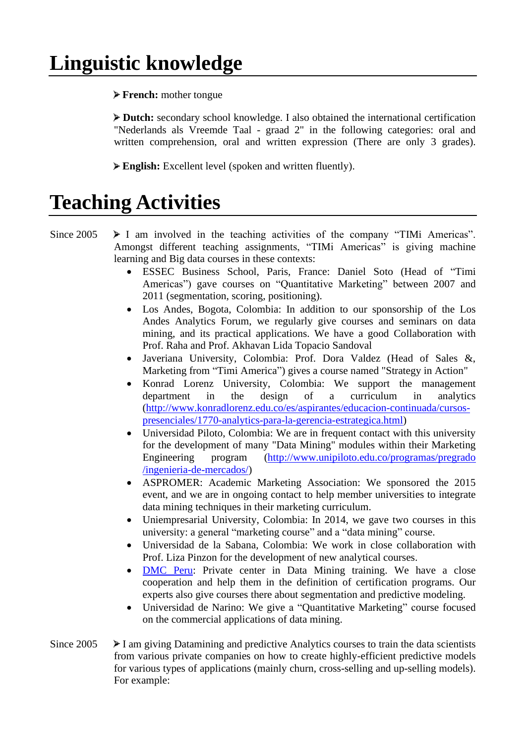# **Linguistic knowledge**

**French:** mother tongue

**Dutch:** secondary school knowledge. I also obtained the international certification "Nederlands als Vreemde Taal - graad 2" in the following categories: oral and written comprehension, oral and written expression (There are only 3 grades).

**English:** Excellent level (spoken and written fluently).

# **Teaching Activities**

Since  $2005 \rightarrow I$  am involved in the teaching activities of the company "TIMi Americas". Amongst different teaching assignments, "TIMi Americas" is giving machine learning and Big data courses in these contexts:

- ESSEC Business School, Paris, France: Daniel Soto (Head of "Timi Americas") gave courses on "Quantitative Marketing" between 2007 and 2011 (segmentation, scoring, positioning).
- Los Andes, Bogota, Colombia: In addition to our sponsorship of the Los Andes Analytics Forum, we regularly give courses and seminars on data mining, and its practical applications. We have a good Collaboration with Prof. Raha and Prof. Akhavan Lida Topacio Sandoval
- Javeriana University, Colombia: Prof. Dora Valdez (Head of Sales &, Marketing from "Timi America") gives a course named "Strategy in Action"
- Konrad Lorenz University, Colombia: We support the management department in the design of a curriculum in analytics [\(http://www.konradlorenz.edu.co/es/aspirantes/educacion-continuada/cursos](http://www.konradlorenz.edu.co/es/aspirantes/educacion-continuada/cursos-presenciales/1770-analytics-para-la-gerencia-estrategica.html)[presenciales/1770-analytics-para-la-gerencia-estrategica.html\)](http://www.konradlorenz.edu.co/es/aspirantes/educacion-continuada/cursos-presenciales/1770-analytics-para-la-gerencia-estrategica.html)
- Universidad Piloto, Colombia: We are in frequent contact with this university for the development of many "Data Mining" modules within their Marketing Engineering program [\(http://www.unipiloto.edu.co/programas/pregrado](http://www.unipiloto.edu.co/programas/pregrado%20/ingenieria-de-mercados/)  [/ingenieria-de-mercados/\)](http://www.unipiloto.edu.co/programas/pregrado%20/ingenieria-de-mercados/)
- ASPROMER: Academic Marketing Association: We sponsored the 2015 event, and we are in ongoing contact to help member universities to integrate data mining techniques in their marketing curriculum.
- Uniempresarial University, Colombia: In 2014, we gave two courses in this university: a general "marketing course" and a "data mining" course.
- Universidad de la Sabana, Colombia: We work in close collaboration with Prof. Liza Pinzon for the development of new analytical courses.
- [DMC Peru:](http://dataminingperu.com/) Private center in Data Mining training. We have a close cooperation and help them in the definition of certification programs. Our experts also give courses there about segmentation and predictive modeling.
- Universidad de Narino: We give a "Quantitative Marketing" course focused on the commercial applications of data mining.
- Since  $2005 \rightarrow I$  am giving Datamining and predictive Analytics courses to train the data scientists from various private companies on how to create highly-efficient predictive models for various types of applications (mainly churn, cross-selling and up-selling models). For example: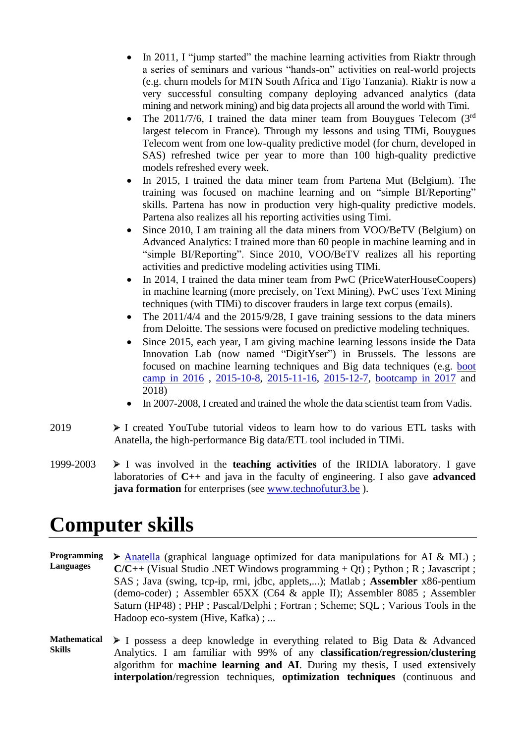- In 2011, I "jump started" the machine learning activities from Riaktr through a series of seminars and various "hands-on" activities on real-world projects (e.g. churn models for MTN South Africa and Tigo Tanzania). Riaktr is now a very successful consulting company deploying advanced analytics (data mining and network mining) and big data projects all around the world with Timi.
- The 2011/7/6, I trained the data miner team from Bouygues Telecom  $(3<sup>rd</sup>$ largest telecom in France). Through my lessons and using TIMi, Bouygues Telecom went from one low-quality predictive model (for churn, developed in SAS) refreshed twice per year to more than 100 high-quality predictive models refreshed every week.
- In 2015, I trained the data miner team from Partena Mut (Belgium). The training was focused on machine learning and on "simple BI/Reporting" skills. Partena has now in production very high-quality predictive models. Partena also realizes all his reporting activities using Timi.
- Since 2010, I am training all the data miners from VOO/BeTV (Belgium) on Advanced Analytics: I trained more than 60 people in machine learning and in "simple BI/Reporting". Since 2010, VOO/BeTV realizes all his reporting activities and predictive modeling activities using TIMi.
- In 2014, I trained the data miner team from PwC (PriceWaterHouseCoopers) in machine learning (more precisely, on Text Mining). PwC uses Text Mining techniques (with TIMi) to discover frauders in large text corpus (emails).
- The 2011/4/4 and the 2015/9/28, I gave training sessions to the data miners from Deloitte. The sessions were focused on predictive modeling techniques.
- Since 2015, each year, I am giving machine learning lessons inside the Data Innovation Lab (now named "DigitYser") in Brussels. The lessons are focused on machine learning techniques and Big data techniques (e.g. [boot](http://di-academy.com/trainers/)  [camp in 2016](http://di-academy.com/trainers/) , [2015-10-8,](http://www.meetup.com/Open-Data-Innovation-Training-Hub/events/225117023/) [2015-11-16,](http://www.meetup.com/Open-Data-Innovation-Training-Hub/events/224579526/) [2015-12-7,](http://www.meetup.com/Open-Data-Innovation-Training-Hub/events/224579532/) [bootcamp in 2017](https://www.meetup.com/Data-Science-Community-Meetup/events/245342035/?rv=ea1&_xtd=gatlbWFpbF9jbGlja9oAJGJhYjM2MmUwLTE1ZDQtNGRjOC1iMDNhLWVhZGIzZDE2NGUwMQ&_af=event&_af_eid=245342035) and 2018)
- In 2007-2008, I created and trained the whole the data scientist team from Vadis.
- 2019  $\triangleright$  I created YouTube tutorial videos to learn how to do various ETL tasks with Anatella, the high-performance Big data/ETL tool included in TIMi.
- 1999-2003 I was involved in the **teaching activities** of the IRIDIA laboratory. I gave laboratories of **C++** and java in the faculty of engineering. I also gave **advanced java formation** for enterprises (see [www.technofutur3.be](http://www.technofutur3.be/)).

# **Computer skills**

**Programming Languages** [Anatella](https://timi.eu/products-solutions/timi/anatella/) (graphical language optimized for data manipulations for AI & ML) ;  $C/C++$  (Visual Studio .NET Windows programming  $+ Ot$ ) ; Python ; R ; Javascript ; SAS ; Java (swing, tcp-ip, rmi, jdbc, applets,...); Matlab ; **Assembler** x86-pentium (demo-coder) ; Assembler 65XX (C64 & apple II); Assembler 8085 ; Assembler Saturn (HP48) ; PHP ; Pascal/Delphi ; Fortran ; Scheme; SQL ; Various Tools in the Hadoop eco-system (Hive, Kafka) ; ...

**Mathematical Skills** I possess a deep knowledge in everything related to Big Data & Advanced Analytics. I am familiar with 99% of any **classification/regression/clustering** algorithm for **machine learning and AI**. During my thesis, I used extensively **interpolation**/regression techniques, **optimization techniques** (continuous and